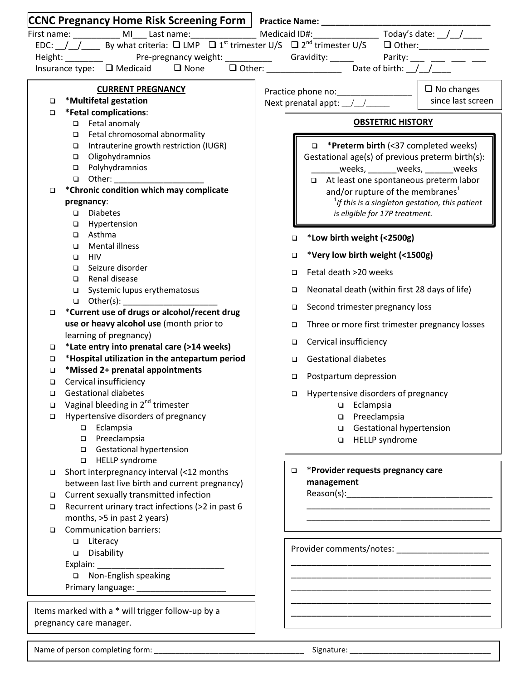|        | CCNC Pregnancy Home Risk Screening Form   Practice Name: _______________________             |  |                                                                                                                                         |  |  |
|--------|----------------------------------------------------------------------------------------------|--|-----------------------------------------------------------------------------------------------------------------------------------------|--|--|
|        |                                                                                              |  |                                                                                                                                         |  |  |
|        |                                                                                              |  | EDC: $\frac{1}{2}$ By what criteria: $\Box$ LMP $\Box$ 1 <sup>st</sup> trimester U/S $\Box$ 2 <sup>nd</sup> trimester U/S $\Box$ Other: |  |  |
|        |                                                                                              |  | Height: ___________    Pre-pregnancy weight: ____________  Gravidity: ______  Parity: ____ ____ ____ ____                               |  |  |
|        |                                                                                              |  |                                                                                                                                         |  |  |
|        |                                                                                              |  |                                                                                                                                         |  |  |
|        | <b>CURRENT PREGNANCY</b>                                                                     |  | $\Box$ No changes                                                                                                                       |  |  |
|        | *Multifetal gestation<br>o                                                                   |  | since last screen                                                                                                                       |  |  |
| $\Box$ | *Fetal complications:                                                                        |  |                                                                                                                                         |  |  |
|        | Fetal anomaly                                                                                |  | <b>OBSTETRIC HISTORY</b>                                                                                                                |  |  |
|        | Fetal chromosomal abnormality<br>$\Box$<br>Intrauterine growth restriction (IUGR)            |  | <b>D</b> *Preterm birth (<37 completed weeks)                                                                                           |  |  |
|        | $\Box$<br>Oligohydramnios<br>$\Box$                                                          |  |                                                                                                                                         |  |  |
|        | □ Polyhydramnios                                                                             |  | Gestational age(s) of previous preterm birth(s):<br>_weeks, ________weeks, _______weeks                                                 |  |  |
|        |                                                                                              |  | At least one spontaneous preterm labor                                                                                                  |  |  |
| $\Box$ | *Chronic condition which may complicate                                                      |  | and/or rupture of the membranes <sup>1</sup>                                                                                            |  |  |
|        | pregnancy:                                                                                   |  | $1$ f this is a singleton gestation, this patient                                                                                       |  |  |
|        | <b>Diabetes</b><br>$\Box$                                                                    |  | is eligible for 17P treatment.                                                                                                          |  |  |
|        | Hypertension<br>$\Box$                                                                       |  |                                                                                                                                         |  |  |
|        | Asthma<br>$\Box$                                                                             |  | *Low birth weight (<2500g)<br>□                                                                                                         |  |  |
|        | <b>Mental illness</b><br>▫                                                                   |  | *Very low birth weight (<1500g)<br>$\Box$                                                                                               |  |  |
|        | <b>HIV</b><br>▫<br>Seizure disorder<br>$\Box$                                                |  | Fetal death >20 weeks                                                                                                                   |  |  |
|        | Renal disease<br>$\Box$                                                                      |  | □                                                                                                                                       |  |  |
|        | Systemic lupus erythematosus<br>$\Box$                                                       |  | Neonatal death (within first 28 days of life)<br>□                                                                                      |  |  |
|        | □ Other(s): ________________________<br>*Current use of drugs or alcohol/recent drug         |  | Second trimester pregnancy loss<br>$\Box$                                                                                               |  |  |
| $\Box$ | use or heavy alcohol use (month prior to                                                     |  | Three or more first trimester pregnancy losses<br>□                                                                                     |  |  |
|        | learning of pregnancy)                                                                       |  | Cervical insufficiency<br>$\Box$                                                                                                        |  |  |
| $\Box$ | *Late entry into prenatal care (>14 weeks)<br>*Hospital utilization in the antepartum period |  | <b>Gestational diabetes</b>                                                                                                             |  |  |
| $\Box$ | *Missed 2+ prenatal appointments                                                             |  | □                                                                                                                                       |  |  |
| □      | Cervical insufficiency                                                                       |  | Postpartum depression<br>$\Box$                                                                                                         |  |  |
| $\Box$ | <b>Gestational diabetes</b>                                                                  |  | $\Box$ Hypertensive disorders of pregnancy                                                                                              |  |  |
| $\Box$ | Vaginal bleeding in 2 <sup>nd</sup> trimester                                                |  | Eclampsia<br>▫                                                                                                                          |  |  |
| □      | Hypertensive disorders of pregnancy                                                          |  | Preeclampsia<br>□                                                                                                                       |  |  |
|        | Eclampsia<br>$\Box$                                                                          |  | Gestational hypertension<br>▫                                                                                                           |  |  |
|        | Preeclampsia<br>$\Box$                                                                       |  | <b>HELLP</b> syndrome<br>□                                                                                                              |  |  |
|        | Gestational hypertension                                                                     |  |                                                                                                                                         |  |  |
|        | HELLP syndrome<br>$\Box$                                                                     |  |                                                                                                                                         |  |  |
| o.     | Short interpregnancy interval (<12 months                                                    |  | *Provider requests pregnancy care<br>$\Box$                                                                                             |  |  |
|        | between last live birth and current pregnancy)                                               |  | management                                                                                                                              |  |  |
| ▫      | Current sexually transmitted infection                                                       |  |                                                                                                                                         |  |  |
|        | Recurrent urinary tract infections (>2 in past 6                                             |  |                                                                                                                                         |  |  |
|        | months, >5 in past 2 years)                                                                  |  |                                                                                                                                         |  |  |
| $\Box$ | <b>Communication barriers:</b>                                                               |  |                                                                                                                                         |  |  |
|        | Literacy<br>❏                                                                                |  |                                                                                                                                         |  |  |
|        | Disability<br>$\Box$                                                                         |  |                                                                                                                                         |  |  |
|        |                                                                                              |  |                                                                                                                                         |  |  |
|        | Non-English speaking                                                                         |  |                                                                                                                                         |  |  |
|        |                                                                                              |  |                                                                                                                                         |  |  |
|        |                                                                                              |  |                                                                                                                                         |  |  |
|        | Items marked with a * will trigger follow-up by a                                            |  |                                                                                                                                         |  |  |
|        | pregnancy care manager.                                                                      |  |                                                                                                                                         |  |  |

Name of person completing form: \_\_\_\_\_\_\_\_\_\_\_\_\_\_\_\_\_\_\_\_\_\_\_\_\_\_\_\_\_\_\_\_\_\_\_ Signature: \_\_\_\_\_\_\_\_\_\_\_\_\_\_\_\_\_\_\_\_\_\_\_\_\_\_\_\_\_\_\_\_\_